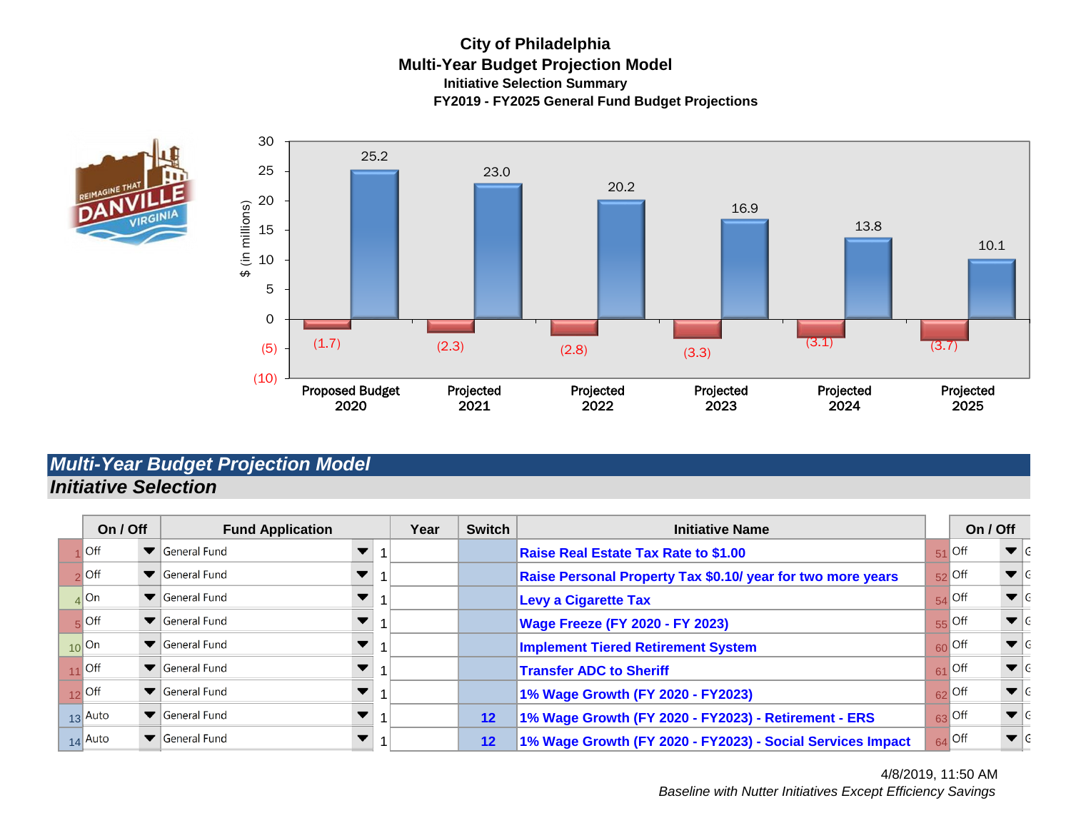#### **City of Philadelphia Multi-Year Budget Projection Model Initiative Selection Summary FY2019 - FY2025 General Fund Budget Projections**





# *Multi-Year Budget Projection Model Initiative Selection*

| On / Off           |  | <b>Fund Application</b>            |  | Year | <b>Switch</b>     | <b>Initiative Name</b>                                      |    | On / Off                           |                         |  |
|--------------------|--|------------------------------------|--|------|-------------------|-------------------------------------------------------------|----|------------------------------------|-------------------------|--|
| $\blacksquare$     |  | $\blacktriangleright$ General Fund |  |      |                   | <b>Raise Real Estate Tax Rate to \$1.00</b>                 |    | $51$ Off                           | $\blacktriangledown$ G  |  |
| $\frac{1}{2}$ Off  |  | General Fund                       |  |      |                   | Raise Personal Property Tax \$0.10/ year for two more years |    | $52$ Off                           | $\blacktriangledown$ G  |  |
| $_4$ On            |  | $\blacktriangleright$ General Fund |  |      |                   | <b>Levy a Cigarette Tax</b>                                 |    | $54$ Off                           | $\blacktriangledown$ IG |  |
| $\overline{5}$ Off |  | $\blacktriangleright$ General Fund |  |      |                   | <b>Wage Freeze (FY 2020 - FY 2023)</b>                      |    | $55$ Off                           | $\blacktriangledown$ G  |  |
| $10$ On            |  | $\blacktriangleright$ General Fund |  |      |                   | <b>Implement Tiered Retirement System</b>                   |    | $60$ Off                           | $\blacktriangledown$ G  |  |
| $11$ Off           |  | $\blacktriangleright$ General Fund |  |      |                   | <b>Transfer ADC to Sheriff</b>                              |    | $61$ Off                           | $\blacktriangledown$ G  |  |
| $12$ Off           |  | General Fund                       |  |      |                   | 1% Wage Growth (FY 2020 - FY2023)                           |    | $62$ Off                           | $\blacktriangledown$ G  |  |
| $13$ Auto          |  | $\blacktriangleright$ General Fund |  |      | $12 \ \mathsf{ }$ | 1% Wage Growth (FY 2020 - FY2023) - Retirement - ERS        |    | $63$ Off                           | $\blacktriangledown$ IG |  |
| $14$ Auto          |  | ▼ General Fund                     |  |      | 12                | 1% Wage Growth (FY 2020 - FY2023) - Social Services Impact  | 64 | $\overline{\overline{\text{Off}}}$ | $\blacktriangledown$ IG |  |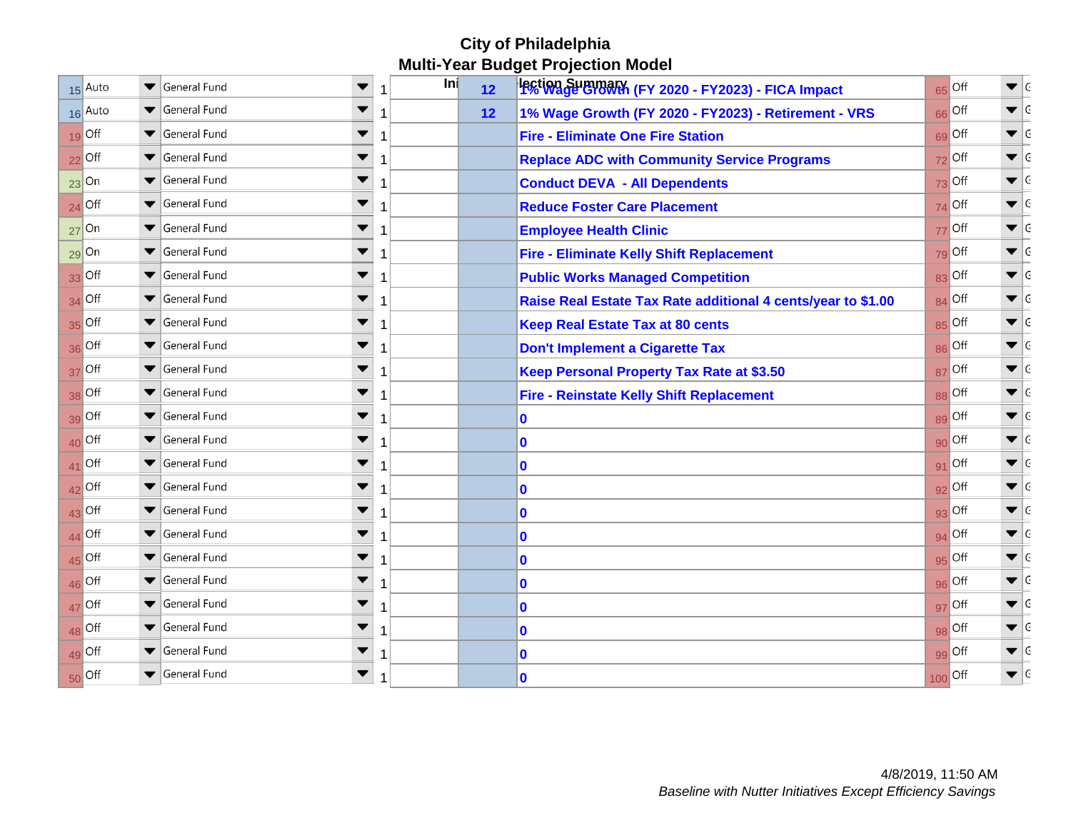## **City of Philadelphia Multi-Year Budget Projection Model**

|    | 15 Auto          | $\blacktriangledown$ | General Fund                       | ▼<br>1 | <b>Inj</b> | 12 | Pction Summary (FY 2020 - FY2023) - FICA Impact              | $65$ Off | $\blacktriangledown$ G  |  |
|----|------------------|----------------------|------------------------------------|--------|------------|----|--------------------------------------------------------------|----------|-------------------------|--|
|    | 16 Auto          |                      | $\blacktriangleright$ General Fund | 1      |            | 12 | 1% Wage Growth (FY 2020 - FY2023) - Retirement - VRS         | 66 Off   | $\blacktriangledown$ G  |  |
|    | $19$ Off         |                      | General Fund                       | ▼<br>1 |            |    | <b>Fire - Eliminate One Fire Station</b>                     | 69 Off   | $\blacktriangledown$ G  |  |
|    | $22$ Off         |                      | General Fund                       | 1      |            |    | <b>Replace ADC with Community Service Programs</b>           | $72$ Off | $\blacktriangledown$ G  |  |
|    | $23$ On          |                      | General Fund                       | 1      |            |    | <b>Conduct DEVA - All Dependents</b>                         | $73$ Off | $\blacktriangledown$ G  |  |
| 24 | Off              |                      | $\blacktriangleright$ General Fund | ▼<br>1 |            |    | <b>Reduce Foster Care Placement</b>                          | $74$ Off | $\blacktriangledown$ G  |  |
|    | $27$ On          |                      | General Fund                       | 1      |            |    | <b>Employee Health Clinic</b>                                | $77$ Off | $\blacktriangledown$ G  |  |
|    | $29$ On          |                      | General Fund                       | ▼<br>1 |            |    | <b>Fire - Eliminate Kelly Shift Replacement</b>              | $79$ Off | $\blacktriangledown$ IG |  |
|    | $33$ Off         |                      | General Fund                       | 1      |            |    | <b>Public Works Managed Competition</b>                      | $83$ Off | $\blacktriangledown$ G  |  |
|    | $34$ Off         |                      | General Fund                       | 1      |            |    | Raise Real Estate Tax Rate additional 4 cents/year to \$1.00 | $84$ Off | $\blacktriangledown$ G  |  |
|    | $35$ Off         |                      | General Fund                       | ▼<br>1 |            |    | <b>Keep Real Estate Tax at 80 cents</b>                      | 85 Off   | $\blacktriangledown$ G  |  |
|    | 36 Off           |                      | General Fund                       | 1      |            |    | <b>Don't Implement a Cigarette Tax</b>                       | 86 Off   | $\blacktriangledown$ G  |  |
| 37 | Off              |                      | $\blacktriangleright$ General Fund | ▼<br>1 |            |    | <b>Keep Personal Property Tax Rate at \$3.50</b>             | $87$ Off | $\blacktriangledown$ G  |  |
|    | 38 Off           |                      | $\blacktriangleright$ General Fund | 1      |            |    | <b>Fire - Reinstate Kelly Shift Replacement</b>              | 88 Off   | $\blacktriangledown$ G  |  |
|    | $39$ Off         |                      | General Fund                       | ▼<br>1 |            |    | 10                                                           | 89 Off   | $\blacktriangledown$ G  |  |
| 40 | <b>Off</b>       |                      | General Fund                       | 1      |            |    | $\bf{0}$                                                     | $90$ Off | $\blacktriangledown$ G  |  |
| 41 | <b>Off</b>       |                      | General Fund                       | 1      |            |    | 10                                                           | $91$ Off | $\blacktriangledown$ G  |  |
|    | $42$ Off         |                      | General Fund                       | ▼<br>1 |            |    | 0                                                            | $92$ Off | $\blacktriangledown$ G  |  |
|    | $43$ Off         |                      | $\blacktriangleright$ General Fund | 1      |            |    | $\bf{0}$                                                     | $93$ Off | $\blacktriangledown$ G  |  |
| 44 | $\overline{Off}$ |                      | $\blacktriangleright$ General Fund | ▼<br>1 |            |    | 10                                                           | $94$ Off | $\blacktriangledown$ G  |  |
|    | $45$ Off         |                      | General Fund                       | 1      |            |    | $\bf{0}$                                                     | $95$ Off | $\blacktriangledown$ G  |  |
| 46 | Off              |                      | General Fund                       | ▼<br>1 |            |    | $\bf{0}$                                                     | 96 Off   | $\blacktriangledown$ G  |  |
| 47 | Off              |                      | General Fund                       | 1      |            |    | 10                                                           | $97$ Off | $\blacktriangledown$ G  |  |
|    | 48 Off           |                      | General Fund                       | ▼<br>1 |            |    | 0                                                            | 98 Off   | $\blacktriangledown$ G  |  |
|    | $49$ Off         |                      | General Fund                       | 1      |            |    | $\bf{0}$                                                     | 99 Off   | $\blacktriangledown$ G  |  |
| 50 | <b>Off</b>       |                      | General Fund                       | ▼<br>1 |            |    | $\bf{0}$                                                     | 100 Off  | $\blacktriangledown$ G  |  |
|    |                  |                      |                                    |        |            |    |                                                              |          |                         |  |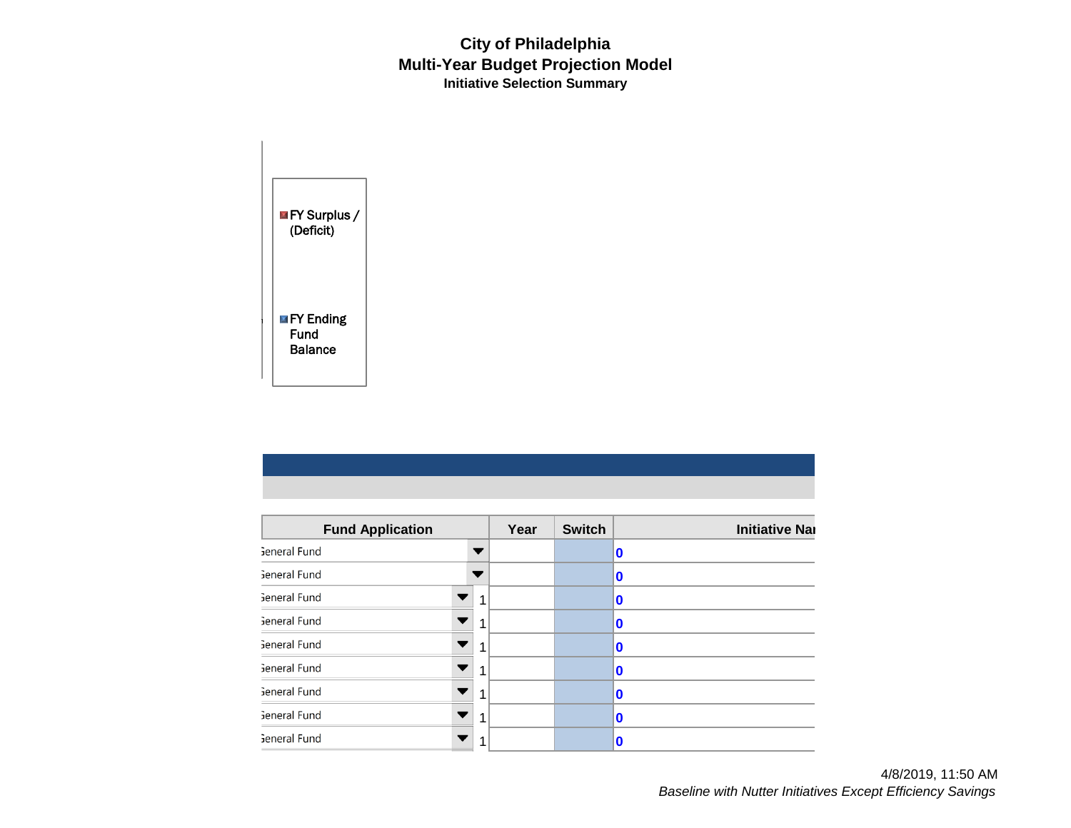### **City of Philadelphia Multi-Year Budget Projection Model Initiative Selection Summary**

**FY Surplus /** (Deficit) **FY Ending** Fund Balance

| <b>Fund Application</b> |   | Year | <b>Switch</b> | <b>Initiative Nar</b> |  |  |
|-------------------------|---|------|---------------|-----------------------|--|--|
| General Fund            |   |      |               | 10                    |  |  |
| Seneral Fund            |   |      |               | $\bf{0}$              |  |  |
| Seneral Fund            | 1 |      |               | $\bf{0}$              |  |  |
| General Fund            | 1 |      |               | $\bf{0}$              |  |  |
| Seneral Fund            | 1 |      |               | n                     |  |  |
| General Fund            | 1 |      |               | 0                     |  |  |
| General Fund            | 1 |      |               | $\bf{0}$              |  |  |
| Seneral Fund            | 1 |      |               | n                     |  |  |
| Seneral Fund            | 1 |      |               | 0                     |  |  |